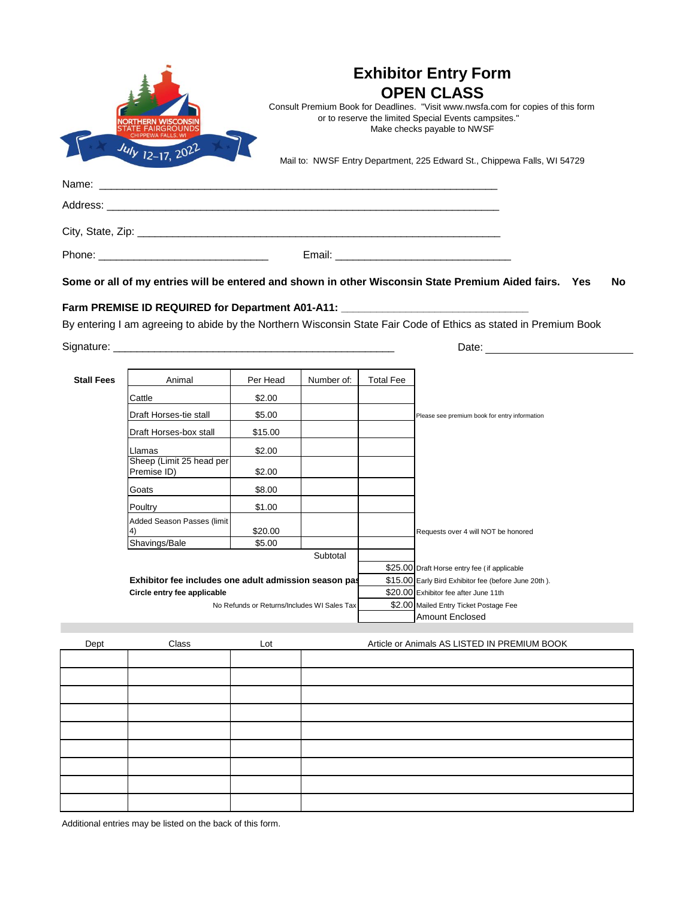|                         | <b>Exhibitor Entry Form</b><br><b>OPEN CLASS</b>                                                                                                                        |  |  |  |  |  |
|-------------------------|-------------------------------------------------------------------------------------------------------------------------------------------------------------------------|--|--|--|--|--|
|                         |                                                                                                                                                                         |  |  |  |  |  |
|                         | Consult Premium Book for Deadlines. "Visit www.nwsfa.com for copies of this form<br>or to reserve the limited Special Events campsites."<br>Make checks payable to NWSF |  |  |  |  |  |
| $J_{U1}$ $_{12-17,202}$ | Mail to: NWSF Entry Department, 225 Edward St., Chippewa Falls, WI 54729                                                                                                |  |  |  |  |  |
|                         |                                                                                                                                                                         |  |  |  |  |  |
|                         |                                                                                                                                                                         |  |  |  |  |  |
|                         |                                                                                                                                                                         |  |  |  |  |  |
|                         |                                                                                                                                                                         |  |  |  |  |  |
|                         | Some or all of my entries will be entered and shown in other Wisconsin State Premium Aided fairs. Yes<br>No.                                                            |  |  |  |  |  |
|                         | Farm PREMISE ID REQUIRED for Department A01-A11: _______________________________                                                                                        |  |  |  |  |  |
|                         | By entering I am agreeing to abide by the Northern Wisconsin State Fair Code of Ethics as stated in Premium Book                                                        |  |  |  |  |  |
|                         | Date:                                                                                                                                                                   |  |  |  |  |  |

| Stall Fees | Animal                                                                                                                              | Per Head | Number of: | <b>Total Fee</b> |                                                      |
|------------|-------------------------------------------------------------------------------------------------------------------------------------|----------|------------|------------------|------------------------------------------------------|
|            | Cattle                                                                                                                              | \$2.00   |            |                  |                                                      |
|            | Draft Horses-tie stall                                                                                                              | \$5.00   |            |                  | Please see premium book for entry information        |
|            | Draft Horses-box stall                                                                                                              | \$15.00  |            |                  |                                                      |
|            | Llamas                                                                                                                              | \$2.00   |            |                  |                                                      |
|            | Sheep (Limit 25 head per                                                                                                            |          |            |                  |                                                      |
|            | Premise ID)                                                                                                                         | \$2.00   |            |                  |                                                      |
|            | Goats                                                                                                                               | \$8.00   |            |                  |                                                      |
|            | Poultry                                                                                                                             | \$1.00   |            |                  |                                                      |
|            | Added Season Passes (limit                                                                                                          |          |            |                  |                                                      |
|            | $\ket{4}$                                                                                                                           | \$20.00  |            |                  | Requests over 4 will NOT be honored                  |
|            | Shavings/Bale                                                                                                                       | \$5.00   |            |                  |                                                      |
|            |                                                                                                                                     |          | Subtotal   |                  |                                                      |
|            |                                                                                                                                     |          |            |                  | \$25.00 Draft Horse entry fee (if applicable         |
|            | Exhibitor fee includes one adult admission season pas<br>Circle entry fee applicable<br>No Refunds or Returns/Includes WI Sales Tax |          |            |                  | \$15.00 Early Bird Exhibitor fee (before June 20th). |
|            |                                                                                                                                     |          |            |                  | \$20.00 Exhibitor fee after June 11th                |
|            |                                                                                                                                     |          |            |                  | \$2.00 Mailed Entry Ticket Postage Fee               |
|            |                                                                                                                                     |          |            |                  | <b>Amount Enclosed</b>                               |

| Dept | Class | Lot | Article or Animals AS LISTED IN PREMIUM BOOK |
|------|-------|-----|----------------------------------------------|
|      |       |     |                                              |
|      |       |     |                                              |
|      |       |     |                                              |
|      |       |     |                                              |
|      |       |     |                                              |
|      |       |     |                                              |
|      |       |     |                                              |
|      |       |     |                                              |
|      |       |     |                                              |
|      |       |     |                                              |

Additional entries may be listed on the back of this form.